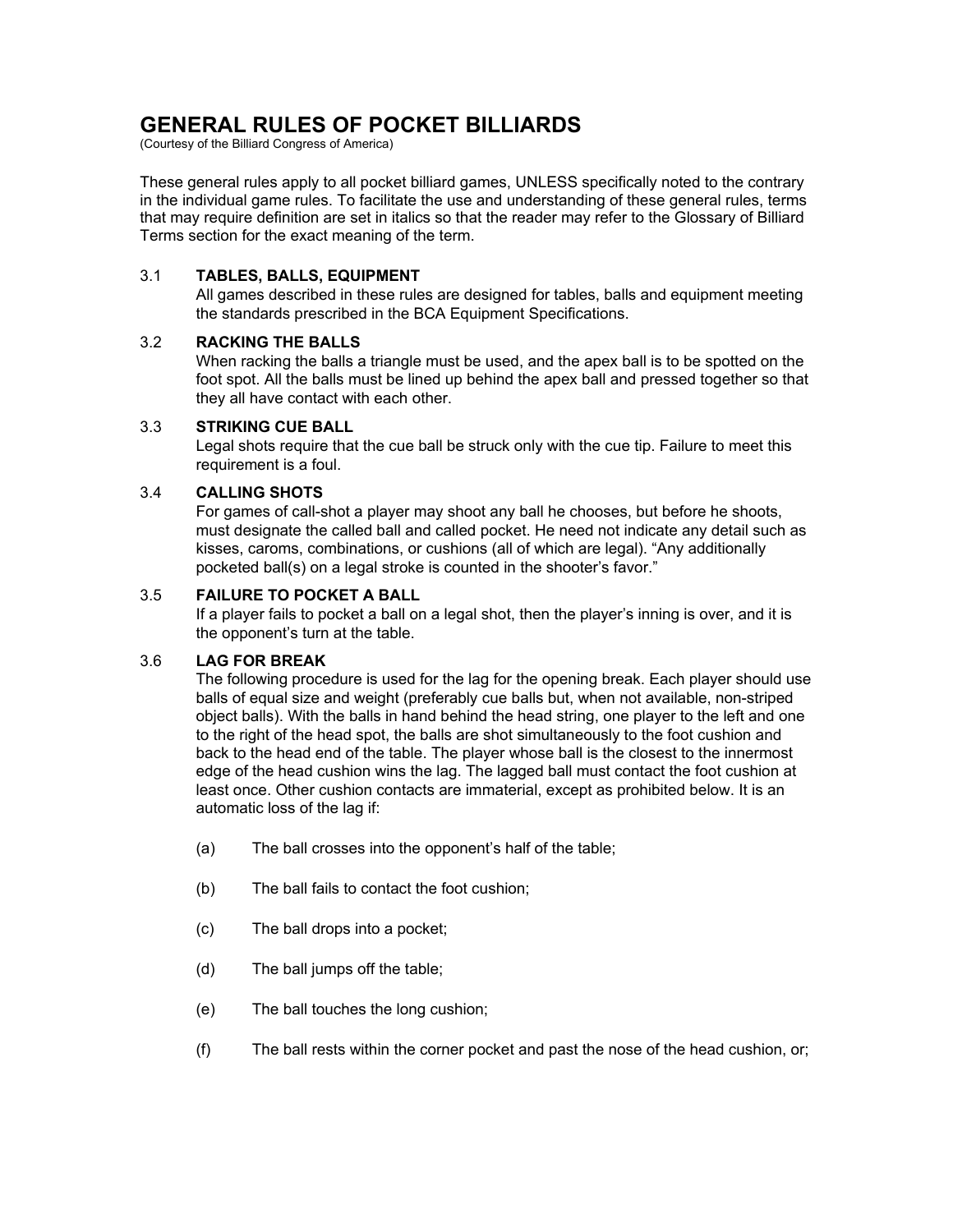# **GENERAL RULES OF POCKET BILLIARDS**

(Courtesy of the Billiard Congress of America)

These general rules apply to all pocket billiard games, UNLESS specifically noted to the contrary in the individual game rules. To facilitate the use and understanding of these general rules, terms that may require definition are set in italics so that the reader may refer to the Glossary of Billiard Terms section for the exact meaning of the term.

# 3.1 **TABLES, BALLS, EQUIPMENT**

All games described in these rules are designed for tables, balls and equipment meeting the standards prescribed in the BCA Equipment Specifications.

# 3.2 **RACKING THE BALLS**

When racking the balls a triangle must be used, and the apex ball is to be spotted on the foot spot. All the balls must be lined up behind the apex ball and pressed together so that they all have contact with each other.

# 3.3 **STRIKING CUE BALL**

Legal shots require that the cue ball be struck only with the cue tip. Failure to meet this requirement is a foul.

# 3.4 **CALLING SHOTS**

For games of call-shot a player may shoot any ball he chooses, but before he shoots, must designate the called ball and called pocket. He need not indicate any detail such as kisses, caroms, combinations, or cushions (all of which are legal). "Any additionally pocketed ball(s) on a legal stroke is counted in the shooter's favor."

## 3.5 **FAILURE TO POCKET A BALL**

If a player fails to pocket a ball on a legal shot, then the player's inning is over, and it is the opponent's turn at the table.

### 3.6 **LAG FOR BREAK**

The following procedure is used for the lag for the opening break. Each player should use balls of equal size and weight (preferably cue balls but, when not available, non-striped object balls). With the balls in hand behind the head string, one player to the left and one to the right of the head spot, the balls are shot simultaneously to the foot cushion and back to the head end of the table. The player whose ball is the closest to the innermost edge of the head cushion wins the lag. The lagged ball must contact the foot cushion at least once. Other cushion contacts are immaterial, except as prohibited below. It is an automatic loss of the lag if:

- (a) The ball crosses into the opponent's half of the table;
- (b) The ball fails to contact the foot cushion;
- (c) The ball drops into a pocket;
- (d) The ball jumps off the table;
- (e) The ball touches the long cushion;
- (f) The ball rests within the corner pocket and past the nose of the head cushion, or;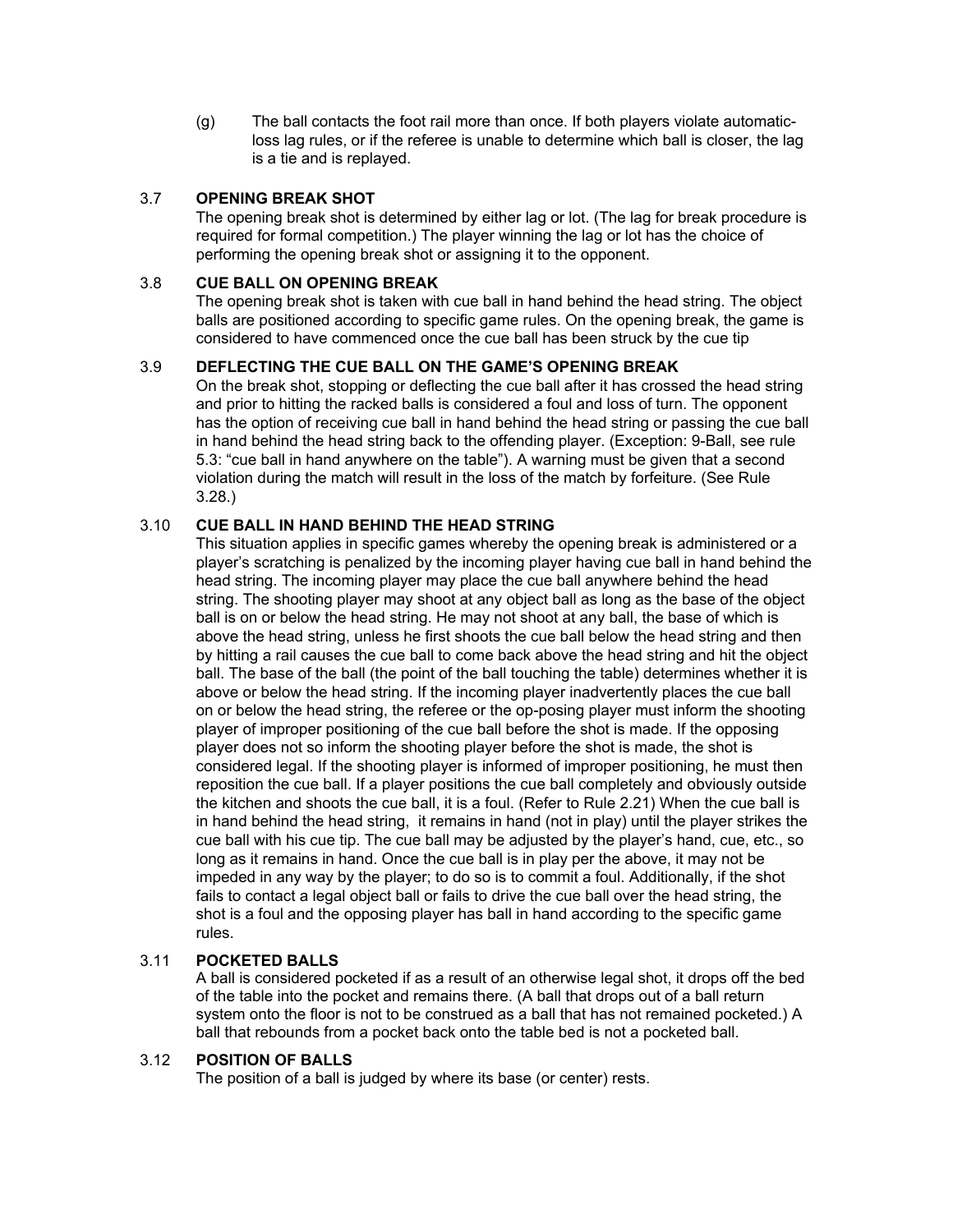(g) The ball contacts the foot rail more than once. If both players violate automaticloss lag rules, or if the referee is unable to determine which ball is closer, the lag is a tie and is replayed.

# 3.7 **OPENING BREAK SHOT**

The opening break shot is determined by either lag or lot. (The lag for break procedure is required for formal competition.) The player winning the lag or lot has the choice of performing the opening break shot or assigning it to the opponent.

# 3.8 **CUE BALL ON OPENING BREAK**

The opening break shot is taken with cue ball in hand behind the head string. The object balls are positioned according to specific game rules. On the opening break, the game is considered to have commenced once the cue ball has been struck by the cue tip

# 3.9 **DEFLECTING THE CUE BALL ON THE GAME'S OPENING BREAK**

On the break shot, stopping or deflecting the cue ball after it has crossed the head string and prior to hitting the racked balls is considered a foul and loss of turn. The opponent has the option of receiving cue ball in hand behind the head string or passing the cue ball in hand behind the head string back to the offending player. (Exception: 9-Ball, see rule 5.3: "cue ball in hand anywhere on the table"). A warning must be given that a second violation during the match will result in the loss of the match by forfeiture. (See Rule 3.28.)

# 3.10 **CUE BALL IN HAND BEHIND THE HEAD STRING**

This situation applies in specific games whereby the opening break is administered or a player's scratching is penalized by the incoming player having cue ball in hand behind the head string. The incoming player may place the cue ball anywhere behind the head string. The shooting player may shoot at any object ball as long as the base of the object ball is on or below the head string. He may not shoot at any ball, the base of which is above the head string, unless he first shoots the cue ball below the head string and then by hitting a rail causes the cue ball to come back above the head string and hit the object ball. The base of the ball (the point of the ball touching the table) determines whether it is above or below the head string. If the incoming player inadvertently places the cue ball on or below the head string, the referee or the op-posing player must inform the shooting player of improper positioning of the cue ball before the shot is made. If the opposing player does not so inform the shooting player before the shot is made, the shot is considered legal. If the shooting player is informed of improper positioning, he must then reposition the cue ball. If a player positions the cue ball completely and obviously outside the kitchen and shoots the cue ball, it is a foul. (Refer to Rule 2.21) When the cue ball is in hand behind the head string, it remains in hand (not in play) until the player strikes the cue ball with his cue tip. The cue ball may be adjusted by the player's hand, cue, etc., so long as it remains in hand. Once the cue ball is in play per the above, it may not be impeded in any way by the player; to do so is to commit a foul. Additionally, if the shot fails to contact a legal object ball or fails to drive the cue ball over the head string, the shot is a foul and the opposing player has ball in hand according to the specific game rules.

# 3.11 **POCKETED BALLS**

A ball is considered pocketed if as a result of an otherwise legal shot, it drops off the bed of the table into the pocket and remains there. (A ball that drops out of a ball return system onto the floor is not to be construed as a ball that has not remained pocketed.) A ball that rebounds from a pocket back onto the table bed is not a pocketed ball.

# 3.12 **POSITION OF BALLS**

The position of a ball is judged by where its base (or center) rests.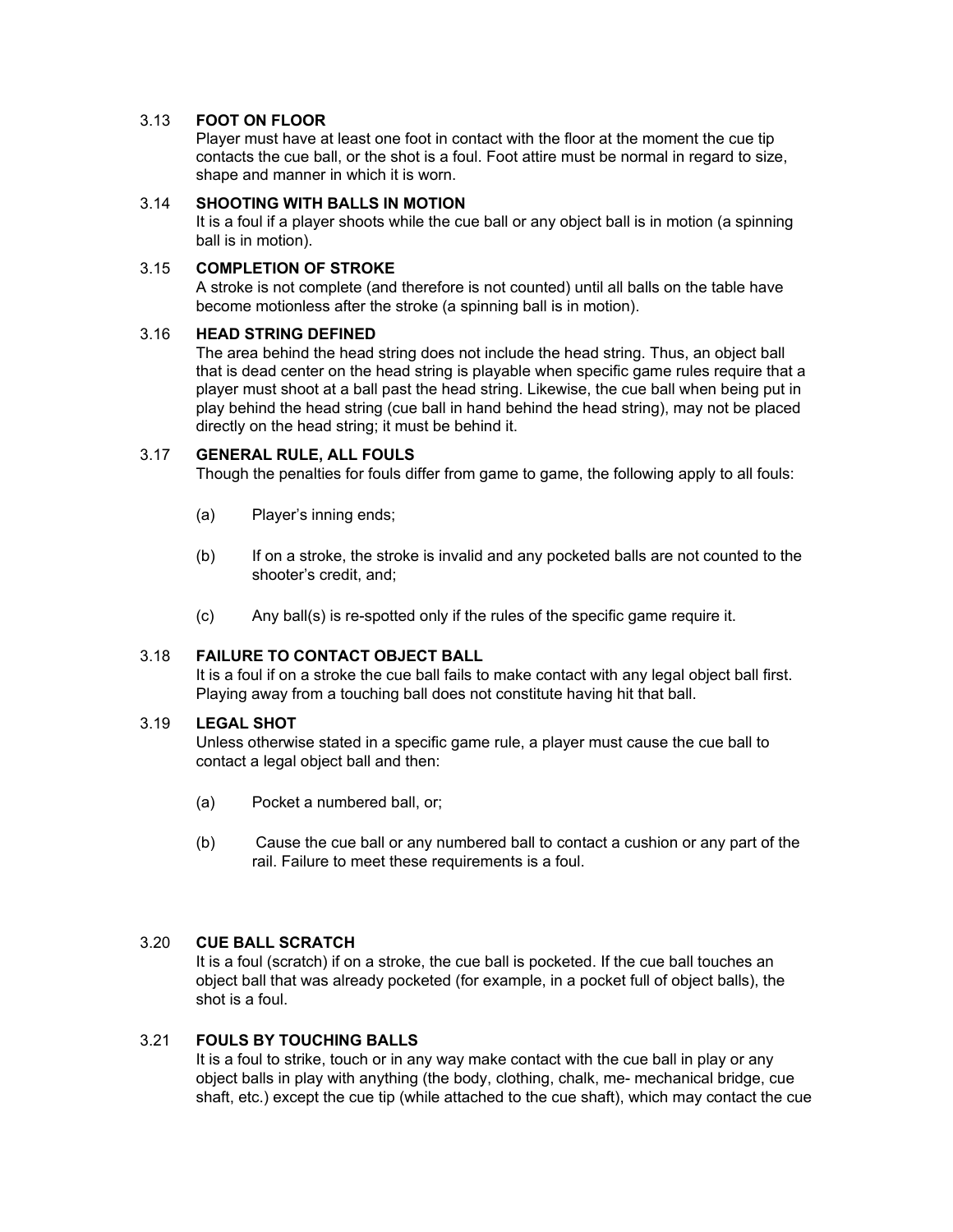# 3.13 **FOOT ON FLOOR**

Player must have at least one foot in contact with the floor at the moment the cue tip contacts the cue ball, or the shot is a foul. Foot attire must be normal in regard to size, shape and manner in which it is worn.

#### 3.14 **SHOOTING WITH BALLS IN MOTION**

It is a foul if a player shoots while the cue ball or any object ball is in motion (a spinning ball is in motion).

## 3.15 **COMPLETION OF STROKE**

A stroke is not complete (and therefore is not counted) until all balls on the table have become motionless after the stroke (a spinning ball is in motion).

#### 3.16 **HEAD STRING DEFINED**

The area behind the head string does not include the head string. Thus, an object ball that is dead center on the head string is playable when specific game rules require that a player must shoot at a ball past the head string. Likewise, the cue ball when being put in play behind the head string (cue ball in hand behind the head string), may not be placed directly on the head string; it must be behind it.

## 3.17 **GENERAL RULE, ALL FOULS**

Though the penalties for fouls differ from game to game, the following apply to all fouls:

- (a) Player's inning ends;
- (b) If on a stroke, the stroke is invalid and any pocketed balls are not counted to the shooter's credit, and;
- (c) Any ball(s) is re-spotted only if the rules of the specific game require it.

#### 3.18 **FAILURE TO CONTACT OBJECT BALL**

It is a foul if on a stroke the cue ball fails to make contact with any legal object ball first. Playing away from a touching ball does not constitute having hit that ball.

#### 3.19 **LEGAL SHOT**

Unless otherwise stated in a specific game rule, a player must cause the cue ball to contact a legal object ball and then:

- (a) Pocket a numbered ball, or;
- (b) Cause the cue ball or any numbered ball to contact a cushion or any part of the rail. Failure to meet these requirements is a foul.

## 3.20 **CUE BALL SCRATCH**

It is a foul (scratch) if on a stroke, the cue ball is pocketed. If the cue ball touches an object ball that was already pocketed (for example, in a pocket full of object balls), the shot is a foul.

#### 3.21 **FOULS BY TOUCHING BALLS**

It is a foul to strike, touch or in any way make contact with the cue ball in play or any object balls in play with anything (the body, clothing, chalk, me- mechanical bridge, cue shaft, etc.) except the cue tip (while attached to the cue shaft), which may contact the cue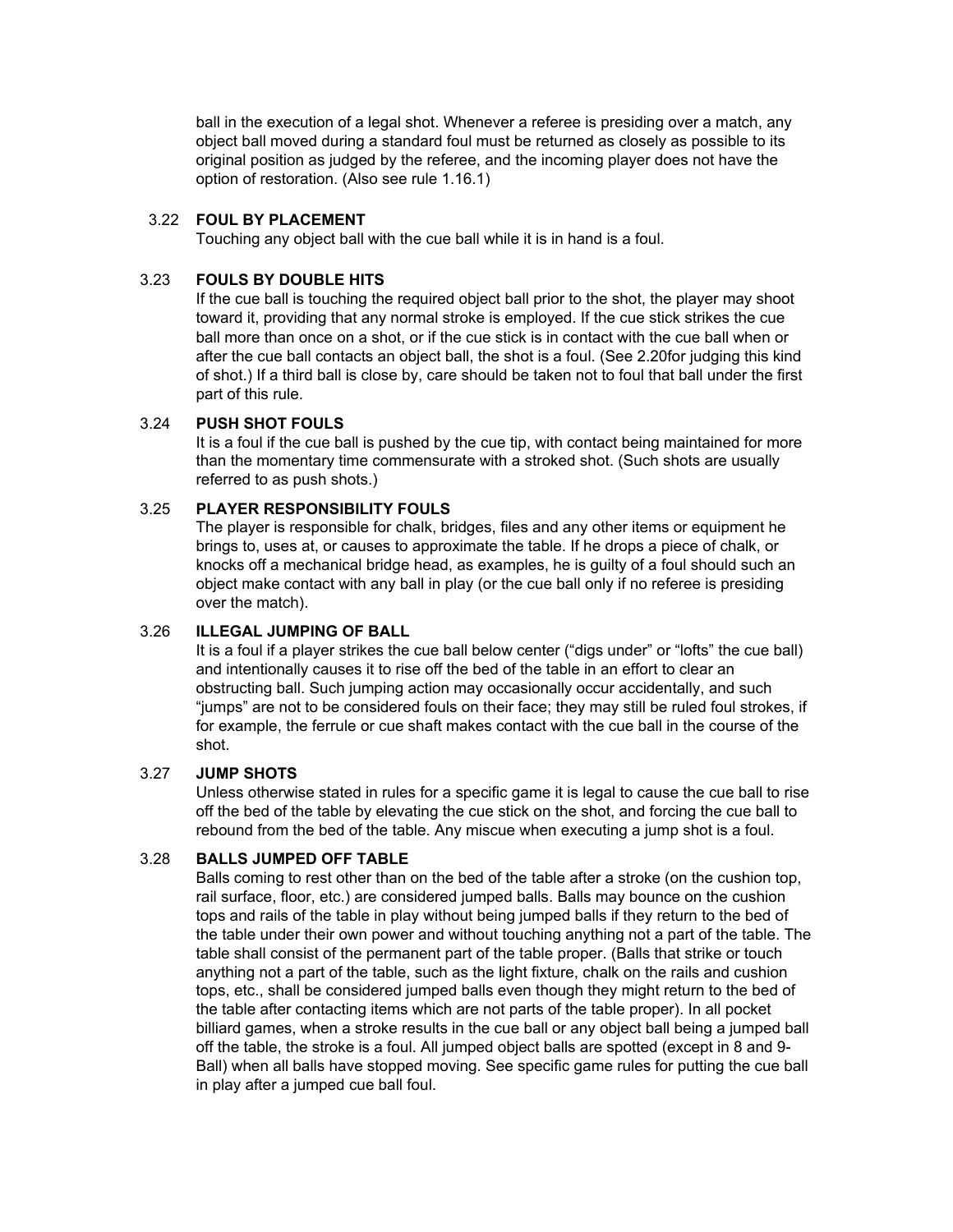ball in the execution of a legal shot. Whenever a referee is presiding over a match, any object ball moved during a standard foul must be returned as closely as possible to its original position as judged by the referee, and the incoming player does not have the option of restoration. (Also see rule 1.16.1)

## 3.22 **FOUL BY PLACEMENT**

Touching any object ball with the cue ball while it is in hand is a foul.

# 3.23 **FOULS BY DOUBLE HITS**

If the cue ball is touching the required object ball prior to the shot, the player may shoot toward it, providing that any normal stroke is employed. If the cue stick strikes the cue ball more than once on a shot, or if the cue stick is in contact with the cue ball when or after the cue ball contacts an object ball, the shot is a foul. (See 2.20for judging this kind of shot.) If a third ball is close by, care should be taken not to foul that ball under the first part of this rule.

## 3.24 **PUSH SHOT FOULS**

It is a foul if the cue ball is pushed by the cue tip, with contact being maintained for more than the momentary time commensurate with a stroked shot. (Such shots are usually referred to as push shots.)

## 3.25 **PLAYER RESPONSIBILITY FOULS**

The player is responsible for chalk, bridges, files and any other items or equipment he brings to, uses at, or causes to approximate the table. If he drops a piece of chalk, or knocks off a mechanical bridge head, as examples, he is guilty of a foul should such an object make contact with any ball in play (or the cue ball only if no referee is presiding over the match).

# 3.26 **ILLEGAL JUMPING OF BALL**

It is a foul if a player strikes the cue ball below center ("digs under" or "lofts" the cue ball) and intentionally causes it to rise off the bed of the table in an effort to clear an obstructing ball. Such jumping action may occasionally occur accidentally, and such "jumps" are not to be considered fouls on their face; they may still be ruled foul strokes, if for example, the ferrule or cue shaft makes contact with the cue ball in the course of the shot.

# 3.27 **JUMP SHOTS**

Unless otherwise stated in rules for a specific game it is legal to cause the cue ball to rise off the bed of the table by elevating the cue stick on the shot, and forcing the cue ball to rebound from the bed of the table. Any miscue when executing a jump shot is a foul.

# 3.28 **BALLS JUMPED OFF TABLE**

Balls coming to rest other than on the bed of the table after a stroke (on the cushion top, rail surface, floor, etc.) are considered jumped balls. Balls may bounce on the cushion tops and rails of the table in play without being jumped balls if they return to the bed of the table under their own power and without touching anything not a part of the table. The table shall consist of the permanent part of the table proper. (Balls that strike or touch anything not a part of the table, such as the light fixture, chalk on the rails and cushion tops, etc., shall be considered jumped balls even though they might return to the bed of the table after contacting items which are not parts of the table proper). In all pocket billiard games, when a stroke results in the cue ball or any object ball being a jumped ball off the table, the stroke is a foul. All jumped object balls are spotted (except in 8 and 9- Ball) when all balls have stopped moving. See specific game rules for putting the cue ball in play after a jumped cue ball foul.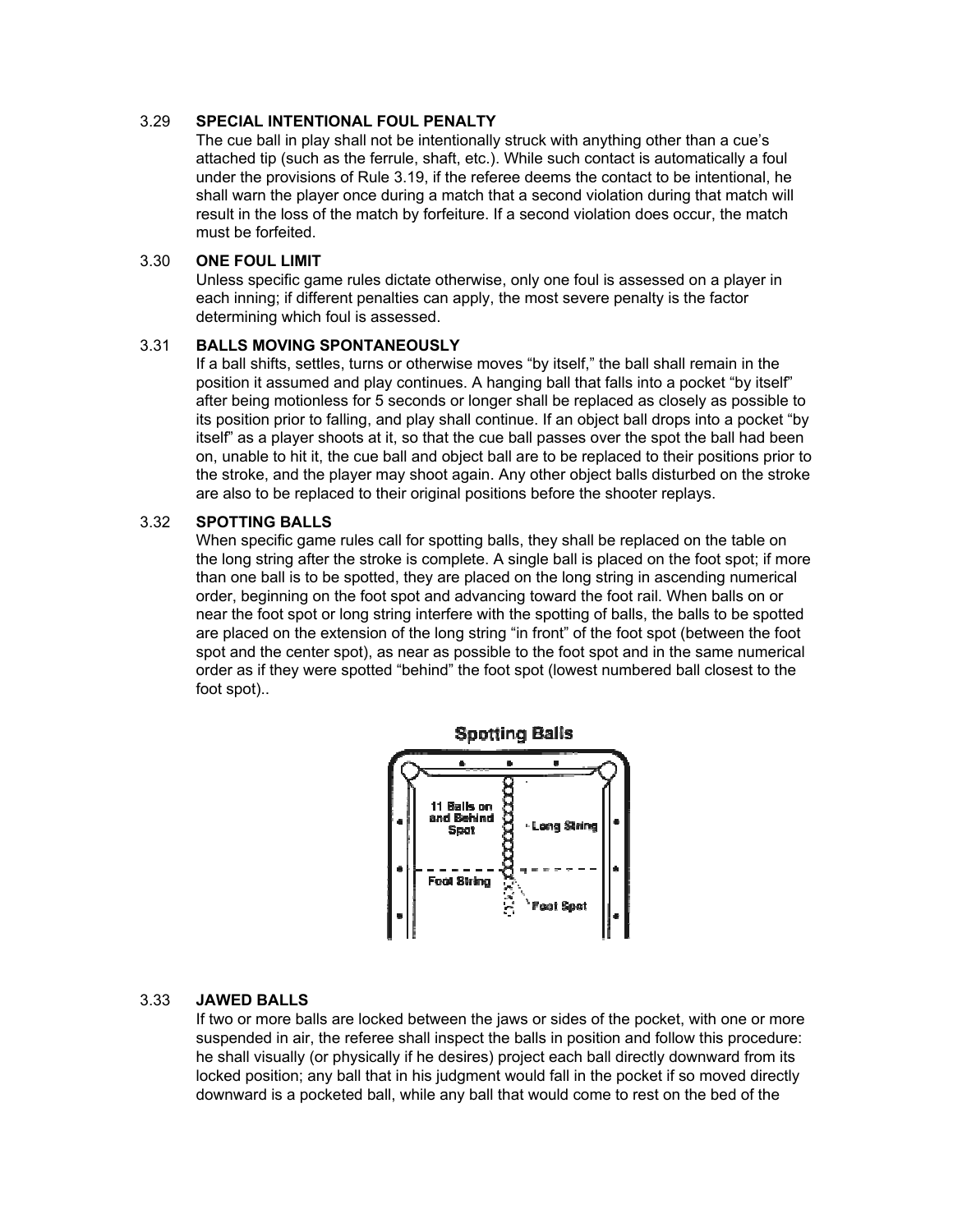# 3.29 **SPECIAL INTENTIONAL FOUL PENALTY**

The cue ball in play shall not be intentionally struck with anything other than a cue's attached tip (such as the ferrule, shaft, etc.). While such contact is automatically a foul under the provisions of Rule 3.19, if the referee deems the contact to be intentional, he shall warn the player once during a match that a second violation during that match will result in the loss of the match by forfeiture. If a second violation does occur, the match must be forfeited.

## 3.30 **ONE FOUL LIMIT**

Unless specific game rules dictate otherwise, only one foul is assessed on a player in each inning; if different penalties can apply, the most severe penalty is the factor determining which foul is assessed.

#### 3.31 **BALLS MOVING SPONTANEOUSLY**

If a ball shifts, settles, turns or otherwise moves "by itself," the ball shall remain in the position it assumed and play continues. A hanging ball that falls into a pocket "by itself" after being motionless for 5 seconds or longer shall be replaced as closely as possible to its position prior to falling, and play shall continue. If an object ball drops into a pocket "by itself" as a player shoots at it, so that the cue ball passes over the spot the ball had been on, unable to hit it, the cue ball and object ball are to be replaced to their positions prior to the stroke, and the player may shoot again. Any other object balls disturbed on the stroke are also to be replaced to their original positions before the shooter replays.

## 3.32 **SPOTTING BALLS**

When specific game rules call for spotting balls, they shall be replaced on the table on the long string after the stroke is complete. A single ball is placed on the foot spot; if more than one ball is to be spotted, they are placed on the long string in ascending numerical order, beginning on the foot spot and advancing toward the foot rail. When balls on or near the foot spot or long string interfere with the spotting of balls, the balls to be spotted are placed on the extension of the long string "in front" of the foot spot (between the foot spot and the center spot), as near as possible to the foot spot and in the same numerical order as if they were spotted "behind" the foot spot (lowest numbered ball closest to the foot spot)..



# 3.33 **JAWED BALLS**

If two or more balls are locked between the jaws or sides of the pocket, with one or more suspended in air, the referee shall inspect the balls in position and follow this procedure: he shall visually (or physically if he desires) project each ball directly downward from its locked position; any ball that in his judgment would fall in the pocket if so moved directly downward is a pocketed ball, while any ball that would come to rest on the bed of the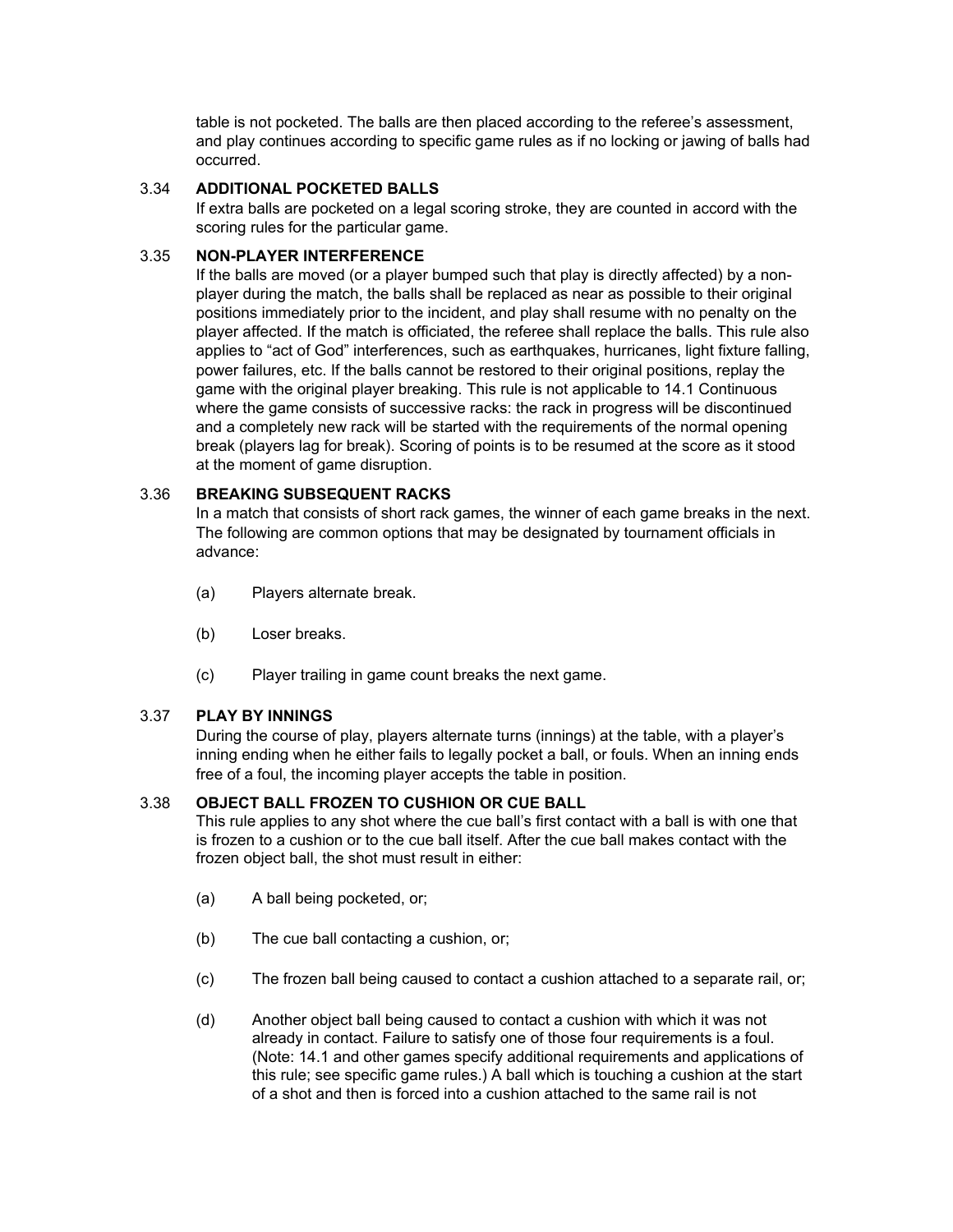table is not pocketed. The balls are then placed according to the referee's assessment, and play continues according to specific game rules as if no locking or jawing of balls had occurred.

# 3.34 **ADDITIONAL POCKETED BALLS**

If extra balls are pocketed on a legal scoring stroke, they are counted in accord with the scoring rules for the particular game.

## 3.35 **NON-PLAYER INTERFERENCE**

If the balls are moved (or a player bumped such that play is directly affected) by a nonplayer during the match, the balls shall be replaced as near as possible to their original positions immediately prior to the incident, and play shall resume with no penalty on the player affected. If the match is officiated, the referee shall replace the balls. This rule also applies to "act of God" interferences, such as earthquakes, hurricanes, light fixture falling, power failures, etc. If the balls cannot be restored to their original positions, replay the game with the original player breaking. This rule is not applicable to 14.1 Continuous where the game consists of successive racks: the rack in progress will be discontinued and a completely new rack will be started with the requirements of the normal opening break (players lag for break). Scoring of points is to be resumed at the score as it stood at the moment of game disruption.

## 3.36 **BREAKING SUBSEQUENT RACKS**

In a match that consists of short rack games, the winner of each game breaks in the next. The following are common options that may be designated by tournament officials in advance:

- (a) Players alternate break.
- (b) Loser breaks.
- (c) Player trailing in game count breaks the next game.

#### 3.37 **PLAY BY INNINGS**

During the course of play, players alternate turns (innings) at the table, with a player's inning ending when he either fails to legally pocket a ball, or fouls. When an inning ends free of a foul, the incoming player accepts the table in position.

#### 3.38 **OBJECT BALL FROZEN TO CUSHION OR CUE BALL**

This rule applies to any shot where the cue ball's first contact with a ball is with one that is frozen to a cushion or to the cue ball itself. After the cue ball makes contact with the frozen object ball, the shot must result in either:

- (a) A ball being pocketed, or;
- (b) The cue ball contacting a cushion, or;
- (c) The frozen ball being caused to contact a cushion attached to a separate rail, or;
- (d) Another object ball being caused to contact a cushion with which it was not already in contact. Failure to satisfy one of those four requirements is a foul. (Note: 14.1 and other games specify additional requirements and applications of this rule; see specific game rules.) A ball which is touching a cushion at the start of a shot and then is forced into a cushion attached to the same rail is not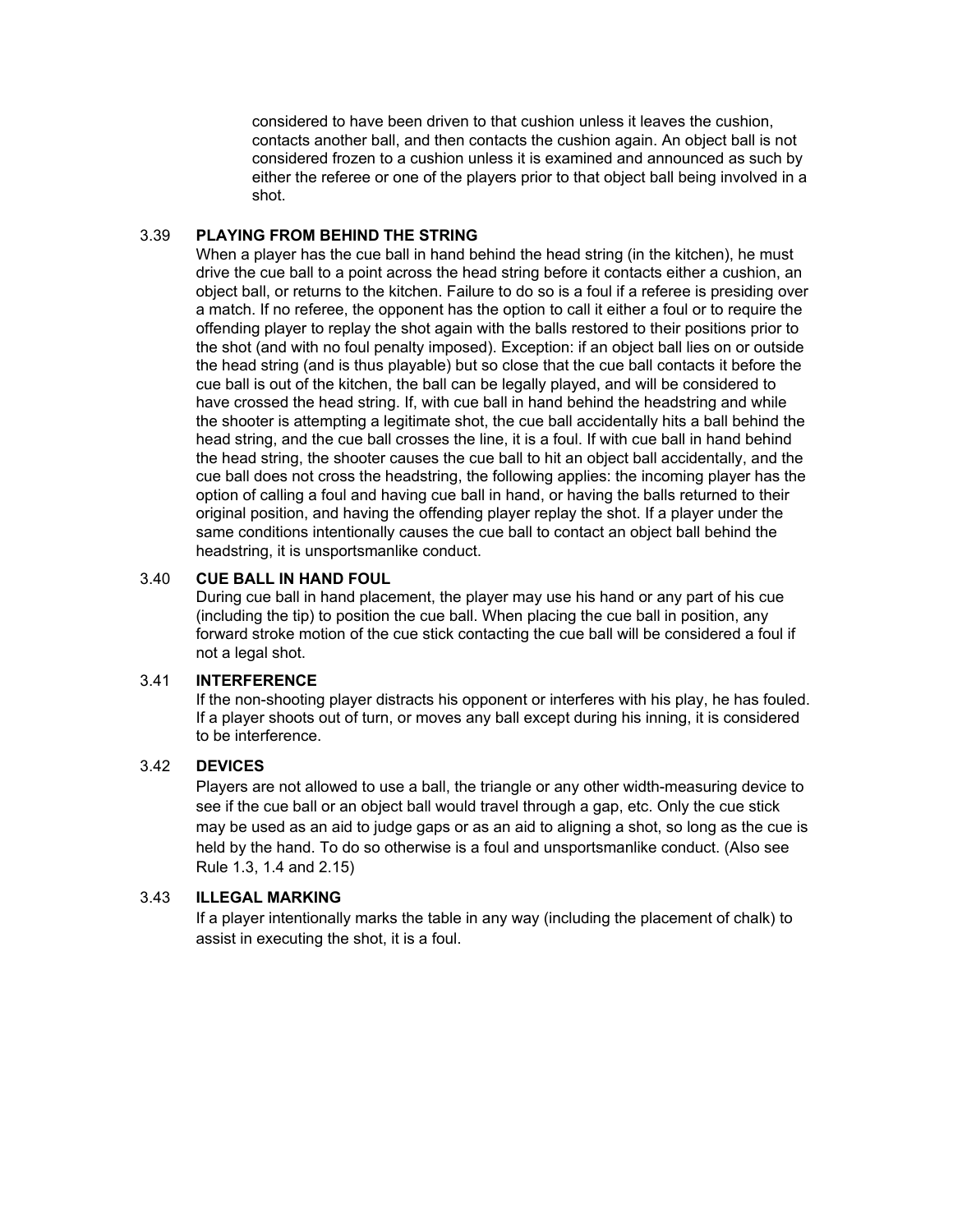considered to have been driven to that cushion unless it leaves the cushion, contacts another ball, and then contacts the cushion again. An object ball is not considered frozen to a cushion unless it is examined and announced as such by either the referee or one of the players prior to that object ball being involved in a shot.

# 3.39 **PLAYING FROM BEHIND THE STRING**

When a player has the cue ball in hand behind the head string (in the kitchen), he must drive the cue ball to a point across the head string before it contacts either a cushion, an object ball, or returns to the kitchen. Failure to do so is a foul if a referee is presiding over a match. If no referee, the opponent has the option to call it either a foul or to require the offending player to replay the shot again with the balls restored to their positions prior to the shot (and with no foul penalty imposed). Exception: if an object ball lies on or outside the head string (and is thus playable) but so close that the cue ball contacts it before the cue ball is out of the kitchen, the ball can be legally played, and will be considered to have crossed the head string. If, with cue ball in hand behind the headstring and while the shooter is attempting a legitimate shot, the cue ball accidentally hits a ball behind the head string, and the cue ball crosses the line, it is a foul. If with cue ball in hand behind the head string, the shooter causes the cue ball to hit an object ball accidentally, and the cue ball does not cross the headstring, the following applies: the incoming player has the option of calling a foul and having cue ball in hand, or having the balls returned to their original position, and having the offending player replay the shot. If a player under the same conditions intentionally causes the cue ball to contact an object ball behind the headstring, it is unsportsmanlike conduct.

## 3.40 **CUE BALL IN HAND FOUL**

During cue ball in hand placement, the player may use his hand or any part of his cue (including the tip) to position the cue ball. When placing the cue ball in position, any forward stroke motion of the cue stick contacting the cue ball will be considered a foul if not a legal shot.

#### 3.41 **INTERFERENCE**

If the non-shooting player distracts his opponent or interferes with his play, he has fouled. If a player shoots out of turn, or moves any ball except during his inning, it is considered to be interference.

# 3.42 **DEVICES**

Players are not allowed to use a ball, the triangle or any other width-measuring device to see if the cue ball or an object ball would travel through a gap, etc. Only the cue stick may be used as an aid to judge gaps or as an aid to aligning a shot, so long as the cue is held by the hand. To do so otherwise is a foul and unsportsmanlike conduct. (Also see Rule 1.3, 1.4 and 2.15)

## 3.43 **ILLEGAL MARKING**

If a player intentionally marks the table in any way (including the placement of chalk) to assist in executing the shot, it is a foul.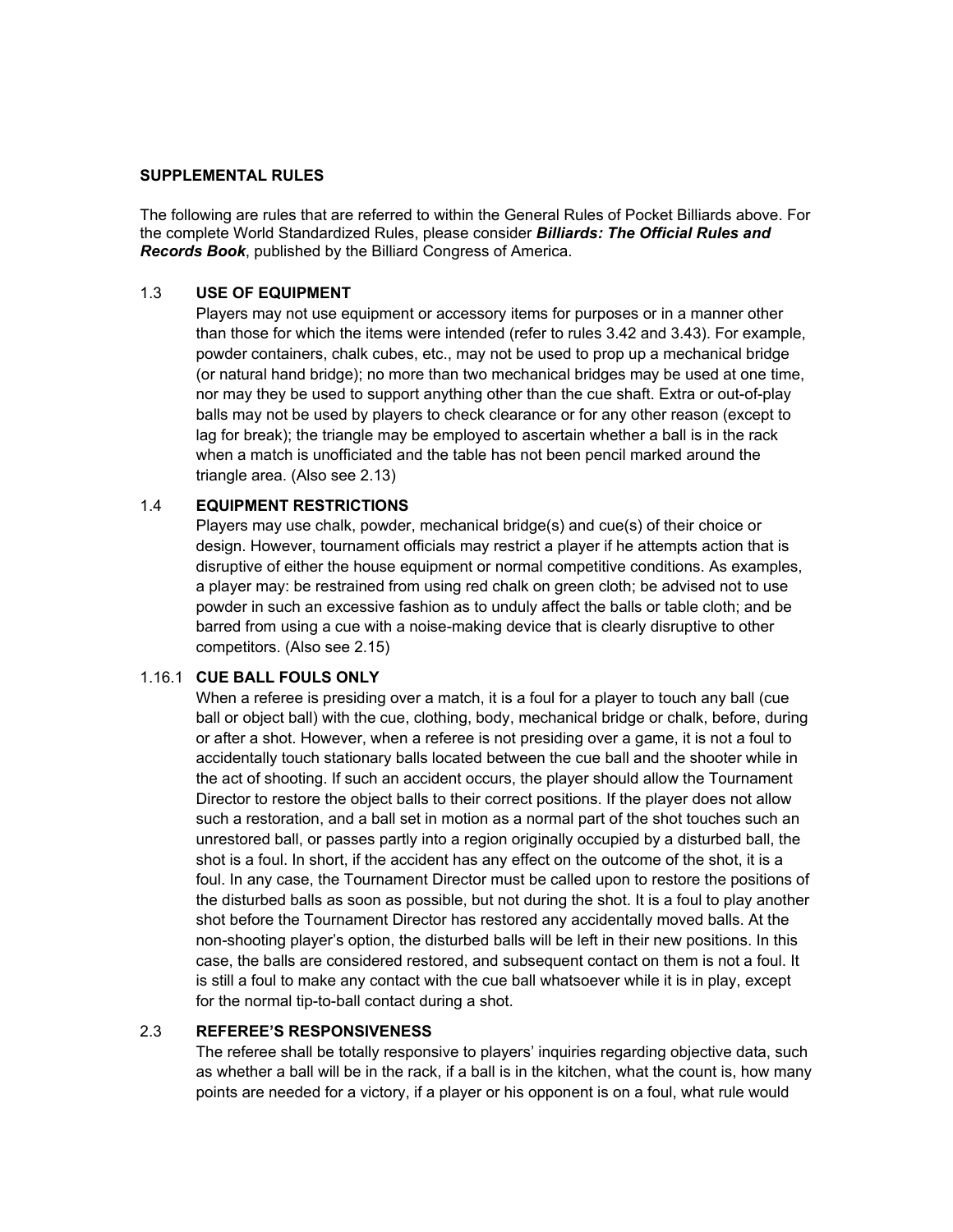#### **SUPPLEMENTAL RULES**

The following are rules that are referred to within the General Rules of Pocket Billiards above. For the complete World Standardized Rules, please consider *Billiards: The Official Rules and Records Book*, published by the Billiard Congress of America.

#### 1.3 **USE OF EQUIPMENT**

Players may not use equipment or accessory items for purposes or in a manner other than those for which the items were intended (refer to rules 3.42 and 3.43). For example, powder containers, chalk cubes, etc., may not be used to prop up a mechanical bridge (or natural hand bridge); no more than two mechanical bridges may be used at one time, nor may they be used to support anything other than the cue shaft. Extra or out-of-play balls may not be used by players to check clearance or for any other reason (except to lag for break); the triangle may be employed to ascertain whether a ball is in the rack when a match is unofficiated and the table has not been pencil marked around the triangle area. (Also see 2.13)

#### 1.4 **EQUIPMENT RESTRICTIONS**

Players may use chalk, powder, mechanical bridge(s) and cue(s) of their choice or design. However, tournament officials may restrict a player if he attempts action that is disruptive of either the house equipment or normal competitive conditions. As examples, a player may: be restrained from using red chalk on green cloth; be advised not to use powder in such an excessive fashion as to unduly affect the balls or table cloth; and be barred from using a cue with a noise-making device that is clearly disruptive to other competitors. (Also see 2.15)

## 1.16.1 **CUE BALL FOULS ONLY**

When a referee is presiding over a match, it is a foul for a player to touch any ball (cue ball or object ball) with the cue, clothing, body, mechanical bridge or chalk, before, during or after a shot. However, when a referee is not presiding over a game, it is not a foul to accidentally touch stationary balls located between the cue ball and the shooter while in the act of shooting. If such an accident occurs, the player should allow the Tournament Director to restore the object balls to their correct positions. If the player does not allow such a restoration, and a ball set in motion as a normal part of the shot touches such an unrestored ball, or passes partly into a region originally occupied by a disturbed ball, the shot is a foul. In short, if the accident has any effect on the outcome of the shot, it is a foul. In any case, the Tournament Director must be called upon to restore the positions of the disturbed balls as soon as possible, but not during the shot. It is a foul to play another shot before the Tournament Director has restored any accidentally moved balls. At the non-shooting player's option, the disturbed balls will be left in their new positions. In this case, the balls are considered restored, and subsequent contact on them is not a foul. It is still a foul to make any contact with the cue ball whatsoever while it is in play, except for the normal tip-to-ball contact during a shot.

#### 2.3 **REFEREE'S RESPONSIVENESS**

The referee shall be totally responsive to players' inquiries regarding objective data, such as whether a ball will be in the rack, if a ball is in the kitchen, what the count is, how many points are needed for a victory, if a player or his opponent is on a foul, what rule would